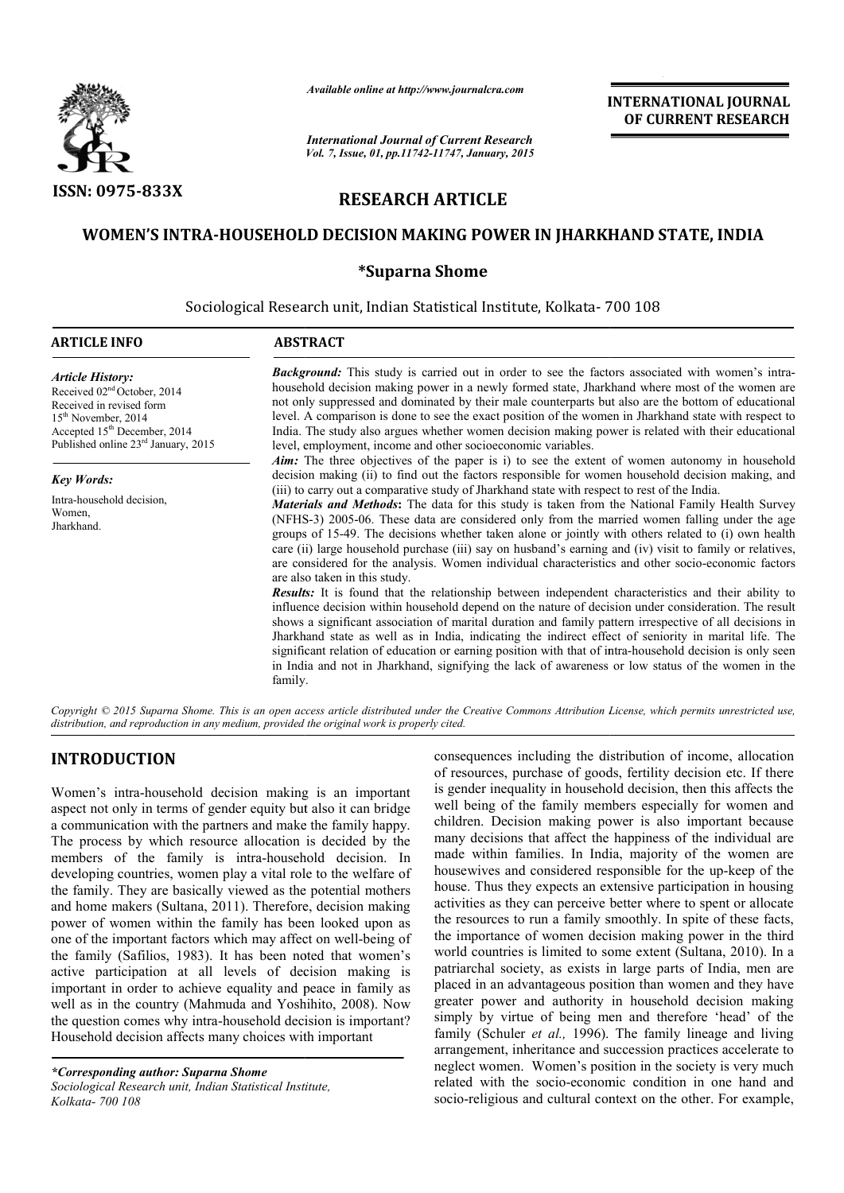

*Available online at http://www.journalcra.com*

*International Journal of Current Research Vol. 7, Issue, 01, pp.11742-11747, January, 2015* **INTERNATIONAL INTERNATIONAL JOURNAL OF CURRENT RESEARCH** 

# **RESEARCH ARTICLE**

# WOMEN'S INTRA-HOUSEHOLD DECISION MAKING POWER IN JHARKHAND STATE, INDIA<br>Suparna Shome\*

Sociological Research unit, Indian Statistical Institute, Kolkata- 700 108 1

| <b>ARTICLE INFO</b>                                                                                                                                                                                                    | <b>ABSTRACT</b>                                                                                                                                                                                                                                                                                                                                                                                                                                                                                                                                                                                                                                                                                                                                                                                                                                                                                                                                                                                                                                                                                                                                                                                                                                                                                                                                                                                                                                                                                                                                     |  |  |  |  |  |
|------------------------------------------------------------------------------------------------------------------------------------------------------------------------------------------------------------------------|-----------------------------------------------------------------------------------------------------------------------------------------------------------------------------------------------------------------------------------------------------------------------------------------------------------------------------------------------------------------------------------------------------------------------------------------------------------------------------------------------------------------------------------------------------------------------------------------------------------------------------------------------------------------------------------------------------------------------------------------------------------------------------------------------------------------------------------------------------------------------------------------------------------------------------------------------------------------------------------------------------------------------------------------------------------------------------------------------------------------------------------------------------------------------------------------------------------------------------------------------------------------------------------------------------------------------------------------------------------------------------------------------------------------------------------------------------------------------------------------------------------------------------------------------------|--|--|--|--|--|
| <b>Article History:</b><br>Received 02 <sup>nd</sup> October, 2014<br>Received in revised form<br>$15th$ November, 2014<br>Accepted 15 <sup>th</sup> December, 2014<br>Published online 23 <sup>rd</sup> January, 2015 | <b>Background:</b> This study is carried out in order to see the factors associated with women's intra-<br>household decision making power in a newly formed state, Jharkhand where most of the women are<br>not only suppressed and dominated by their male counterparts but also are the bottom of educational<br>level. A comparison is done to see the exact position of the women in Jharkhand state with respect to<br>India. The study also argues whether women decision making power is related with their educational<br>level, employment, income and other socioeconomic variables.                                                                                                                                                                                                                                                                                                                                                                                                                                                                                                                                                                                                                                                                                                                                                                                                                                                                                                                                                     |  |  |  |  |  |
| <b>Key Words:</b><br>Intra-household decision,<br>Women,<br>Jharkhand.                                                                                                                                                 | <b>Aim:</b> The three objectives of the paper is i) to see the extent of women autonomy in household<br>decision making (ii) to find out the factors responsible for women household decision making, and<br>(iii) to carry out a comparative study of Jharkhand state with respect to rest of the India.<br><b>Materials and Methods:</b> The data for this study is taken from the National Family Health Survey<br>(NFHS-3) 2005-06. These data are considered only from the married women falling under the age<br>groups of 15-49. The decisions whether taken alone or jointly with others related to (i) own health<br>care (ii) large household purchase (iii) say on husband's earning and (iv) visit to family or relatives,<br>are considered for the analysis. Women individual characteristics and other socio-economic factors<br>are also taken in this study.<br><b>Results:</b> It is found that the relationship between independent characteristics and their ability to<br>influence decision within household depend on the nature of decision under consideration. The result<br>shows a significant association of marital duration and family pattern irrespective of all decisions in<br>Jharkhand state as well as in India, indicating the indirect effect of seniority in marital life. The<br>significant relation of education or earning position with that of intra-household decision is only seen<br>in India and not in Jharkhand, signifying the lack of awareness or low status of the women in the<br>family. |  |  |  |  |  |

Copyright © 2015 Suparna Shome. This is an open access article distributed under the Creative Commons Attribution License, which permits unrestricted use, *distribution, and reproduction in any medium, provided the original work is properly cited.*

# **INTRODUCTION**

Women's intra-household decision making is an important aspect not only in terms of gender equity but also it can bridge a communication with the partners and make the family happy. The process by which resource allocation is decided by the members of the family is intra-household decision. In developing countries, women play a vital role to the welfare of the family. They are basically viewed as the potential mothers and home makers (Sultana, 2011). Therefore, decision making power of women within the family has been looked upon as one of the important factors which may affect on well-being of the family (Safilios, 1983). It has been noted that women's active participation at all levels of decision making is important in order to achieve equality and peace in family as well as in the country (Mahmuda and Yoshihito, 2008). Now the question comes why intra-household decision is important? Household decision affects many choices with important household decision making is<br>n terms of gender equity but als<br>n with the partners and make the<br>which resource allocation is d<br>ne family is intra-household he family (Safilios, 1983). It has been noted that women's active participation at all levels of decision making is mportant in order to achieve equality and peace in family as well as in the country (Mahmuda and Yoshihito

*\*Corresponding author: Suparna Shome Sociological Research unit, Indian Statistical Institute, Kolkata- 700 108*

consequences including the distribution of income, allocation<br>ories consequences including is an important<br>is gender inequality in household decision, then this affects the<br>der equity but also it can bridge<br>well being of t of resources, purchase of goods, fertility decision etc. If there is gender inequality in household decision, then this affects the well being of the family members especially for women and children. Decision making power is also important because many decisions that affect the happiness of the individual are made within families. In India, majority of the women are housewives and considered responsible for the up-keep of the house. Thus they expects an extensive participation in housing activities as they can perceive better where to spent or allocate the resources to run a family smoothly. In spite of these facts, the importance of women decision making power in the third activities as they can perceive better where to spent or allocate<br>the resources to run a family smoothly. In spite of these facts,<br>the importance of women decision making power in the third<br>world countries is limited to so patriarchal society, as exists in large parts of India, men are placed in an advantageous position than women and they have greater power and authority in household decision making simply by virtue of being men and therefore 'head' of the family (Schuler *et al.,* 1996). The family lineage and living arrangement, inheritance and succession practices accelerate to neglect women. Women's position in the society is very much related with the socio-economic condition in one hand and socio-religious and cultural context on the other. For example, consequences including the distribution of income, allocation of resources, purchase of goods, fertility decision etc. If there is gender inequality in household decision, then this affects the well being of the family mem chal society, as exists in large parts of India, men are in an advantageous position than women and they have power and authority in household decision making by virtue of being men and therefore 'head' of the If (Schuler *et al.*, 1996). The family lineage and living gement, inheritance and succession practices accelerate to the women. Women's position in the society is very much d with the socio-economic condition in one hand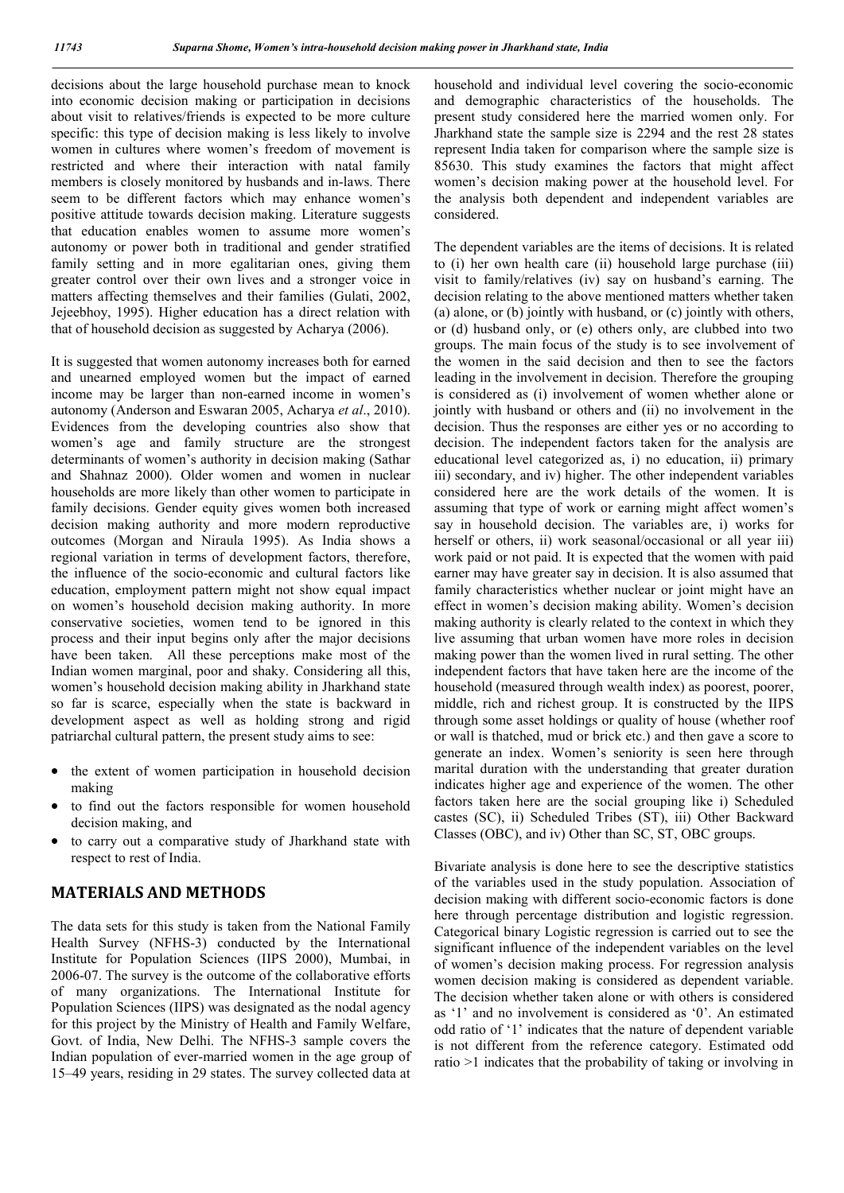decisions about the large household purchase mean to knock into economic decision making or participation in decisions about visit to relatives/friends is expected to be more culture specific: this type of decision making is less likely to involve women in cultures where women's freedom of movement is restricted and where their interaction with natal family members is closely monitored by husbands and in-laws. There seem to be different factors which may enhance women's positive attitude towards decision making. Literature suggests that education enables women to assume more women's autonomy or power both in traditional and gender stratified family setting and in more egalitarian ones, giving them greater control over their own lives and a stronger voice in matters affecting themselves and their families (Gulati, 2002, Jejeebhoy, 1995). Higher education has a direct relation with that of household decision as suggested by Acharya (2006).

It is suggested that women autonomy increases both for earned and unearned employed women but the impact of earned income may be larger than non-earned income in women's autonomy (Anderson and Eswaran 2005, Acharya *et al*., 2010). Evidences from the developing countries also show that women's age and family structure are the strongest determinants of women's authority in decision making (Sathar and Shahnaz 2000). Older women and women in nuclear households are more likely than other women to participate in family decisions. Gender equity gives women both increased decision making authority and more modern reproductive outcomes (Morgan and Niraula 1995). As India shows a regional variation in terms of development factors, therefore, the influence of the socio-economic and cultural factors like education, employment pattern might not show equal impact on women's household decision making authority. In more conservative societies, women tend to be ignored in this process and their input begins only after the major decisions have been taken. All these perceptions make most of the Indian women marginal, poor and shaky. Considering all this, women's household decision making ability in Jharkhand state so far is scarce, especially when the state is backward in development aspect as well as holding strong and rigid patriarchal cultural pattern, the present study aims to see:

- the extent of women participation in household decision making
- to find out the factors responsible for women household decision making, and
- to carry out a comparative study of Jharkhand state with respect to rest of India.

## **MATERIALS AND METHODS**

The data sets for this study is taken from the National Family Health Survey (NFHS-3) conducted by the International Institute for Population Sciences (IIPS 2000), Mumbai, in 2006-07. The survey is the outcome of the collaborative efforts of many organizations. The International Institute for Population Sciences (IIPS) was designated as the nodal agency for this project by the Ministry of Health and Family Welfare, Govt. of India, New Delhi. The NFHS-3 sample covers the Indian population of ever-married women in the age group of 15–49 years, residing in 29 states. The survey collected data at household and individual level covering the socio-economic and demographic characteristics of the households. The present study considered here the married women only. For Jharkhand state the sample size is 2294 and the rest 28 states represent India taken for comparison where the sample size is 85630. This study examines the factors that might affect women's decision making power at the household level. For the analysis both dependent and independent variables are considered.

The dependent variables are the items of decisions. It is related to (i) her own health care (ii) household large purchase (iii) visit to family/relatives (iv) say on husband's earning. The decision relating to the above mentioned matters whether taken (a) alone, or (b) jointly with husband, or (c) jointly with others, or (d) husband only, or (e) others only, are clubbed into two groups. The main focus of the study is to see involvement of the women in the said decision and then to see the factors leading in the involvement in decision. Therefore the grouping is considered as (i) involvement of women whether alone or jointly with husband or others and (ii) no involvement in the decision. Thus the responses are either yes or no according to decision. The independent factors taken for the analysis are educational level categorized as, i) no education, ii) primary iii) secondary, and iv) higher. The other independent variables considered here are the work details of the women. It is assuming that type of work or earning might affect women's say in household decision. The variables are, i) works for herself or others, ii) work seasonal/occasional or all year iii) work paid or not paid. It is expected that the women with paid earner may have greater say in decision. It is also assumed that family characteristics whether nuclear or joint might have an effect in women's decision making ability. Women's decision making authority is clearly related to the context in which they live assuming that urban women have more roles in decision making power than the women lived in rural setting. The other independent factors that have taken here are the income of the household (measured through wealth index) as poorest, poorer, middle, rich and richest group. It is constructed by the IIPS through some asset holdings or quality of house (whether roof or wall is thatched, mud or brick etc.) and then gave a score to generate an index. Women's seniority is seen here through marital duration with the understanding that greater duration indicates higher age and experience of the women. The other factors taken here are the social grouping like i) Scheduled castes (SC), ii) Scheduled Tribes (ST), iii) Other Backward Classes (OBC), and iv) Other than SC, ST, OBC groups.

Bivariate analysis is done here to see the descriptive statistics of the variables used in the study population. Association of decision making with different socio-economic factors is done here through percentage distribution and logistic regression. Categorical binary Logistic regression is carried out to see the significant influence of the independent variables on the level of women's decision making process. For regression analysis women decision making is considered as dependent variable. The decision whether taken alone or with others is considered as '1' and no involvement is considered as '0'. An estimated odd ratio of '1' indicates that the nature of dependent variable is not different from the reference category. Estimated odd ratio >1 indicates that the probability of taking or involving in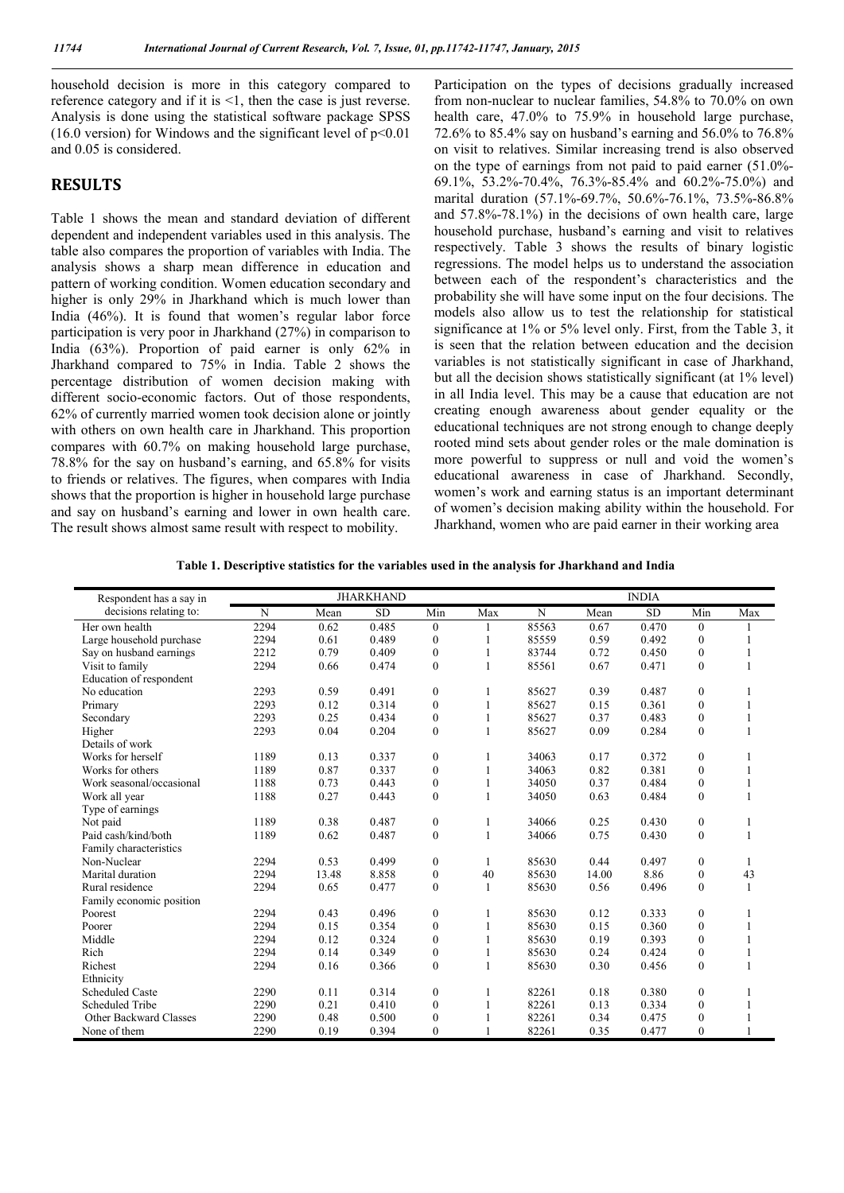household decision is more in this category compared to reference category and if it is <1, then the case is just reverse. Analysis is done using the statistical software package SPSS (16.0 version) for Windows and the significant level of  $p<0.01$ and 0.05 is considered.

### **RESULTS**

Table 1 shows the mean and standard deviation of different dependent and independent variables used in this analysis. The table also compares the proportion of variables with India. The analysis shows a sharp mean difference in education and pattern of working condition. Women education secondary and higher is only 29% in Jharkhand which is much lower than India (46%). It is found that women's regular labor force participation is very poor in Jharkhand (27%) in comparison to India (63%). Proportion of paid earner is only 62% in Jharkhand compared to 75% in India. Table 2 shows the percentage distribution of women decision making with different socio-economic factors. Out of those respondents, 62% of currently married women took decision alone or jointly with others on own health care in Jharkhand. This proportion compares with 60.7% on making household large purchase, 78.8% for the say on husband's earning, and 65.8% for visits to friends or relatives. The figures, when compares with India shows that the proportion is higher in household large purchase and say on husband's earning and lower in own health care. The result shows almost same result with respect to mobility.

Participation on the types of decisions gradually increased from non-nuclear to nuclear families, 54.8% to 70.0% on own health care, 47.0% to 75.9% in household large purchase, 72.6% to 85.4% say on husband's earning and 56.0% to 76.8% on visit to relatives. Similar increasing trend is also observed on the type of earnings from not paid to paid earner (51.0%- 69.1%, 53.2%-70.4%, 76.3%-85.4% and 60.2%-75.0%) and marital duration (57.1%-69.7%, 50.6%-76.1%, 73.5%-86.8% and 57.8%-78.1%) in the decisions of own health care, large household purchase, husband's earning and visit to relatives respectively. Table 3 shows the results of binary logistic regressions. The model helps us to understand the association between each of the respondent's characteristics and the probability she will have some input on the four decisions. The models also allow us to test the relationship for statistical significance at 1% or 5% level only. First, from the Table 3, it is seen that the relation between education and the decision variables is not statistically significant in case of Jharkhand, but all the decision shows statistically significant (at 1% level) in all India level. This may be a cause that education are not creating enough awareness about gender equality or the educational techniques are not strong enough to change deeply rooted mind sets about gender roles or the male domination is more powerful to suppress or null and void the women's educational awareness in case of Jharkhand. Secondly, women's work and earning status is an important determinant of women's decision making ability within the household. For Jharkhand, women who are paid earner in their working area

**Table 1. Descriptive statistics for the variables used in the analysis for Jharkhand and India**

|                                                   | <b>JHARKHAND</b> |       |           |                  |              |       | <b>INDIA</b> |           |                  |              |
|---------------------------------------------------|------------------|-------|-----------|------------------|--------------|-------|--------------|-----------|------------------|--------------|
| Respondent has a say in<br>decisions relating to: | N                |       |           |                  |              | N     |              | <b>SD</b> |                  |              |
|                                                   |                  | Mean  | <b>SD</b> | Min              | Max          |       | Mean         |           | Min              | Max          |
| Her own health                                    | 2294             | 0.62  | 0.485     | $\mathbf{0}$     |              | 85563 | 0.67         | 0.470     | $\bf{0}$         |              |
| Large household purchase                          | 2294             | 0.61  | 0.489     | $\boldsymbol{0}$ | 1            | 85559 | 0.59         | 0.492     | $\boldsymbol{0}$ |              |
| Say on husband earnings                           | 2212             | 0.79  | 0.409     | $\boldsymbol{0}$ | 1            | 83744 | 0.72         | 0.450     | $\boldsymbol{0}$ | 1            |
| Visit to family                                   | 2294             | 0.66  | 0.474     | $\boldsymbol{0}$ | 1            | 85561 | 0.67         | 0.471     | $\overline{0}$   | 1            |
| Education of respondent                           |                  |       |           |                  |              |       |              |           |                  |              |
| No education                                      | 2293             | 0.59  | 0.491     | $\mathbf{0}$     | 1            | 85627 | 0.39         | 0.487     | $\bf{0}$         |              |
| Primary                                           | 2293             | 0.12  | 0.314     | $\boldsymbol{0}$ | $\mathbf{1}$ | 85627 | 0.15         | 0.361     | $\overline{0}$   | 1            |
| Secondary                                         | 2293             | 0.25  | 0.434     | $\boldsymbol{0}$ | $\mathbf{1}$ | 85627 | 0.37         | 0.483     | $\overline{0}$   | 1            |
| Higher                                            | 2293             | 0.04  | 0.204     | $\mathbf{0}$     | $\mathbf{1}$ | 85627 | 0.09         | 0.284     | $\overline{0}$   | $\mathbf{1}$ |
| Details of work                                   |                  |       |           |                  |              |       |              |           |                  |              |
| Works for herself                                 | 1189             | 0.13  | 0.337     | $\boldsymbol{0}$ | 1            | 34063 | 0.17         | 0.372     | $\boldsymbol{0}$ |              |
| Works for others                                  | 1189             | 0.87  | 0.337     | $\mathbf{0}$     | $\mathbf{1}$ | 34063 | 0.82         | 0.381     | $\overline{0}$   | 1            |
| Work seasonal/occasional                          | 1188             | 0.73  | 0.443     | $\boldsymbol{0}$ | 1            | 34050 | 0.37         | 0.484     | $\overline{0}$   | 1            |
| Work all year                                     | 1188             | 0.27  | 0.443     | $\mathbf{0}$     | $\mathbf{1}$ | 34050 | 0.63         | 0.484     | $\theta$         | $\mathbf{1}$ |
| Type of earnings                                  |                  |       |           |                  |              |       |              |           |                  |              |
| Not paid                                          | 1189             | 0.38  | 0.487     | $\boldsymbol{0}$ | 1            | 34066 | 0.25         | 0.430     | $\boldsymbol{0}$ |              |
| Paid cash/kind/both                               | 1189             | 0.62  | 0.487     | $\mathbf{0}$     | $\mathbf{1}$ | 34066 | 0.75         | 0.430     | $\overline{0}$   | 1            |
| Family characteristics                            |                  |       |           |                  |              |       |              |           |                  |              |
| Non-Nuclear                                       | 2294             | 0.53  | 0.499     | $\boldsymbol{0}$ | $\mathbf{1}$ | 85630 | 0.44         | 0.497     | $\boldsymbol{0}$ | 1            |
| Marital duration                                  | 2294             | 13.48 | 8.858     | $\boldsymbol{0}$ | 40           | 85630 | 14.00        | 8.86      | $\boldsymbol{0}$ | 43           |
| Rural residence                                   | 2294             | 0.65  | 0.477     | $\mathbf{0}$     | $\mathbf{1}$ | 85630 | 0.56         | 0.496     | $\overline{0}$   | 1            |
| Family economic position                          |                  |       |           |                  |              |       |              |           |                  |              |
| Poorest                                           | 2294             | 0.43  | 0.496     | $\mathbf{0}$     | 1            | 85630 | 0.12         | 0.333     | $\boldsymbol{0}$ | 1            |
| Poorer                                            | 2294             | 0.15  | 0.354     | $\boldsymbol{0}$ | 1            | 85630 | 0.15         | 0.360     | $\overline{0}$   | 1            |
| Middle                                            | 2294             | 0.12  | 0.324     | $\boldsymbol{0}$ | 1            | 85630 | 0.19         | 0.393     | $\theta$         |              |
| Rich                                              | 2294             | 0.14  | 0.349     | $\boldsymbol{0}$ | 1            | 85630 | 0.24         | 0.424     | $\boldsymbol{0}$ |              |
| Richest                                           | 2294             | 0.16  | 0.366     | $\mathbf{0}$     | 1            | 85630 | 0.30         | 0.456     | $\theta$         |              |
| Ethnicity                                         |                  |       |           |                  |              |       |              |           |                  |              |
| <b>Scheduled Caste</b>                            | 2290             | 0.11  | 0.314     | $\boldsymbol{0}$ | 1            | 82261 | 0.18         | 0.380     | $\boldsymbol{0}$ |              |
| <b>Scheduled Tribe</b>                            | 2290             | 0.21  | 0.410     | $\mathbf{0}$     | 1            | 82261 | 0.13         | 0.334     | $\theta$         |              |
| Other Backward Classes                            | 2290             | 0.48  | 0.500     | $\mathbf{0}$     | 1            | 82261 | 0.34         | 0.475     | $\bf{0}$         |              |
| None of them                                      | 2290             | 0.19  | 0.394     | $\mathbf{0}$     | $\mathbf{1}$ | 82261 | 0.35         | 0.477     | $\bf{0}$         |              |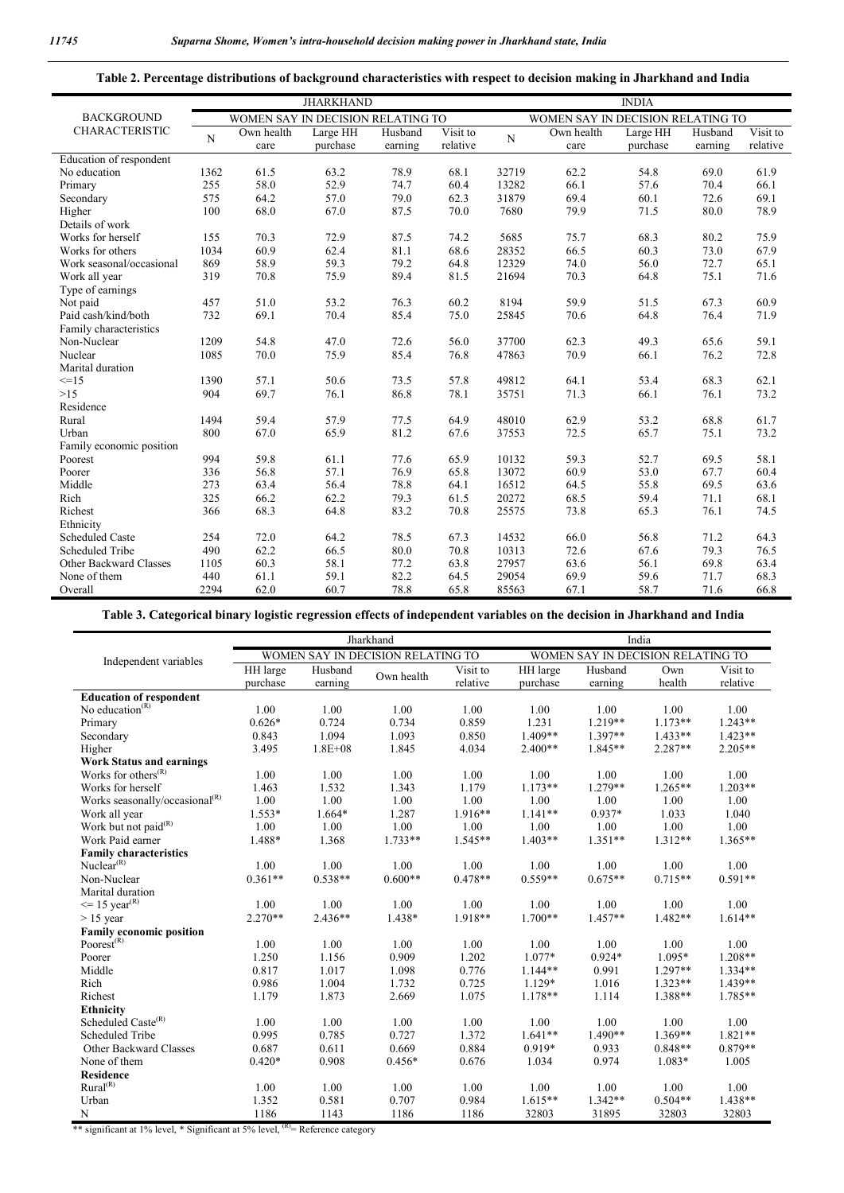#### **Table 2. Percentage distributions of background characteristics with respect to decision making in Jharkhand and India**

|                          | <b>JHARKHAND</b>                                                       |            |          |         |          | <b>INDIA</b> |            |          |         |          |
|--------------------------|------------------------------------------------------------------------|------------|----------|---------|----------|--------------|------------|----------|---------|----------|
| <b>BACKGROUND</b>        | WOMEN SAY IN DECISION RELATING TO<br>WOMEN SAY IN DECISION RELATING TO |            |          |         |          |              |            |          |         |          |
| <b>CHARACTERISTIC</b>    |                                                                        | Own health | Large HH | Husband | Visit to |              | Own health | Large HH | Husband | Visit to |
|                          | N                                                                      | care       | purchase | earning | relative | N            | care       | purchase | earning | relative |
| Education of respondent  |                                                                        |            |          |         |          |              |            |          |         |          |
| No education             | 1362                                                                   | 61.5       | 63.2     | 78.9    | 68.1     | 32719        | 62.2       | 54.8     | 69.0    | 61.9     |
| Primary                  | 255                                                                    | 58.0       | 52.9     | 74.7    | 60.4     | 13282        | 66.1       | 57.6     | 70.4    | 66.1     |
| Secondary                | 575                                                                    | 64.2       | 57.0     | 79.0    | 62.3     | 31879        | 69.4       | 60.1     | 72.6    | 69.1     |
| Higher                   | 100                                                                    | 68.0       | 67.0     | 87.5    | 70.0     | 7680         | 79.9       | 71.5     | 80.0    | 78.9     |
| Details of work          |                                                                        |            |          |         |          |              |            |          |         |          |
| Works for herself        | 155                                                                    | 70.3       | 72.9     | 87.5    | 74.2     | 5685         | 75.7       | 68.3     | 80.2    | 75.9     |
| Works for others         | 1034                                                                   | 60.9       | 62.4     | 81.1    | 68.6     | 28352        | 66.5       | 60.3     | 73.0    | 67.9     |
| Work seasonal/occasional | 869                                                                    | 58.9       | 59.3     | 79.2    | 64.8     | 12329        | 74.0       | 56.0     | 72.7    | 65.1     |
| Work all year            | 319                                                                    | 70.8       | 75.9     | 89.4    | 81.5     | 21694        | 70.3       | 64.8     | 75.1    | 71.6     |
| Type of earnings         |                                                                        |            |          |         |          |              |            |          |         |          |
| Not paid                 | 457                                                                    | 51.0       | 53.2     | 76.3    | 60.2     | 8194         | 59.9       | 51.5     | 67.3    | 60.9     |
| Paid cash/kind/both      | 732                                                                    | 69.1       | 70.4     | 85.4    | 75.0     | 25845        | 70.6       | 64.8     | 76.4    | 71.9     |
| Family characteristics   |                                                                        |            |          |         |          |              |            |          |         |          |
| Non-Nuclear              | 1209                                                                   | 54.8       | 47.0     | 72.6    | 56.0     | 37700        | 62.3       | 49.3     | 65.6    | 59.1     |
| Nuclear                  | 1085                                                                   | 70.0       | 75.9     | 85.4    | 76.8     | 47863        | 70.9       | 66.1     | 76.2    | 72.8     |
| Marital duration         |                                                                        |            |          |         |          |              |            |          |         |          |
| $\leq$ = 15              | 1390                                                                   | 57.1       | 50.6     | 73.5    | 57.8     | 49812        | 64.1       | 53.4     | 68.3    | 62.1     |
| $>15$                    | 904                                                                    | 69.7       | 76.1     | 86.8    | 78.1     | 35751        | 71.3       | 66.1     | 76.1    | 73.2     |
| Residence                |                                                                        |            |          |         |          |              |            |          |         |          |
| Rural                    | 1494                                                                   | 59.4       | 57.9     | 77.5    | 64.9     | 48010        | 62.9       | 53.2     | 68.8    | 61.7     |
| Urban                    | 800                                                                    | 67.0       | 65.9     | 81.2    | 67.6     | 37553        | 72.5       | 65.7     | 75.1    | 73.2     |
| Family economic position |                                                                        |            |          |         |          |              |            |          |         |          |
| Poorest                  | 994                                                                    | 59.8       | 61.1     | 77.6    | 65.9     | 10132        | 59.3       | 52.7     | 69.5    | 58.1     |
| Poorer                   | 336                                                                    | 56.8       | 57.1     | 76.9    | 65.8     | 13072        | 60.9       | 53.0     | 67.7    | 60.4     |
| Middle                   | 273                                                                    | 63.4       | 56.4     | 78.8    | 64.1     | 16512        | 64.5       | 55.8     | 69.5    | 63.6     |
| Rich                     | 325                                                                    | 66.2       | 62.2     | 79.3    | 61.5     | 20272        | 68.5       | 59.4     | 71.1    | 68.1     |
| Richest                  | 366                                                                    | 68.3       | 64.8     | 83.2    | 70.8     | 25575        | 73.8       | 65.3     | 76.1    | 74.5     |
| Ethnicity                |                                                                        |            |          |         |          |              |            |          |         |          |
| <b>Scheduled Caste</b>   | 254                                                                    | 72.0       | 64.2     | 78.5    | 67.3     | 14532        | 66.0       | 56.8     | 71.2    | 64.3     |
| Scheduled Tribe          | 490                                                                    | 62.2       | 66.5     | 80.0    | 70.8     | 10313        | 72.6       | 67.6     | 79.3    | 76.5     |
| Other Backward Classes   | 1105                                                                   | 60.3       | 58.1     | 77.2    | 63.8     | 27957        | 63.6       | 56.1     | 69.8    | 63.4     |
| None of them             | 440                                                                    | 61.1       | 59.1     | 82.2    | 64.5     | 29054        | 69.9       | 59.6     | 71.7    | 68.3     |
| Overall                  | 2294                                                                   | 62.0       | 60.7     | 78.8    | 65.8     | 85563        | 67.1       | 58.7     | 71.6    | 66.8     |

**Table 3. Categorical binary logistic regression effects of independent variables on the decision in Jharkhand and India**

|                                                                                            |           |             | Jharkhand                         |                        | India                             |           |           |           |  |
|--------------------------------------------------------------------------------------------|-----------|-------------|-----------------------------------|------------------------|-----------------------------------|-----------|-----------|-----------|--|
| Independent variables                                                                      |           |             | WOMEN SAY IN DECISION RELATING TO |                        | WOMEN SAY IN DECISION RELATING TO |           |           |           |  |
|                                                                                            | HH large  | Husband     |                                   | $\overline{V}$ isit to | HH large                          | Husband   | Own       | Visit to  |  |
|                                                                                            | purchase  | earning     | Own health                        | relative               | purchase                          | earning   | health    | relative  |  |
| <b>Education of respondent</b>                                                             |           |             |                                   |                        |                                   |           |           |           |  |
| No education $(R)$                                                                         | 1.00      | 1.00        | 1.00                              | 1.00                   | 1.00                              | 1.00      | 1.00      | 1.00      |  |
| Primary                                                                                    | $0.626*$  | 0.724       | 0.734                             | 0.859                  | 1.231                             | $1.219**$ | $1.173**$ | $1.243**$ |  |
| Secondary                                                                                  | 0.843     | 1.094       | 1.093                             | 0.850                  | 1.409**                           | 1.397**   | $1.433**$ | $1.423**$ |  |
| Higher                                                                                     | 3.495     | $1.8E + 08$ | 1.845                             | 4.034                  | 2.400**                           | 1.845**   | 2.287**   | $2.205**$ |  |
| <b>Work Status and earnings</b>                                                            |           |             |                                   |                        |                                   |           |           |           |  |
| Works for others <sup><math>(R)</math></sup>                                               | 1.00      | 1.00        | 1.00                              | 1.00                   | 1.00                              | 1.00      | 1.00      | 1.00      |  |
| Works for herself                                                                          | 1.463     | 1.532       | 1.343                             | 1.179                  | $1.173**$                         | $1.279**$ | $1.265**$ | $1.203**$ |  |
| Works seasonally/occasional <sup>(R)</sup>                                                 | 1.00      | 1.00        | $1.00\,$                          | 1.00                   | 1.00                              | 1.00      | 1.00      | 1.00      |  |
| Work all year                                                                              | 1.553*    | $1.664*$    | 1.287                             | $1.916**$              | $1.141**$                         | $0.937*$  | 1.033     | 1.040     |  |
| Work but not paid $(R)$                                                                    | 1.00      | 1.00        | 1.00                              | 1.00                   | 1.00                              | 1.00      | 1.00      | 1.00      |  |
| Work Paid earner                                                                           | 1.488*    | 1.368       | $1.733**$                         | $1.545**$              | $1.403**$                         | $1.351**$ | $1.312**$ | $1.365**$ |  |
| <b>Family characteristics</b>                                                              |           |             |                                   |                        |                                   |           |           |           |  |
| Nuclear $(R)$                                                                              | 1.00      | 1.00        | 1.00                              | 1.00                   | 1.00                              | 1.00      | 1.00      | 1.00      |  |
| Non-Nuclear                                                                                | $0.361**$ | $0.538**$   | $0.600**$                         | $0.478**$              | $0.559**$                         | $0.675**$ | $0.715**$ | $0.591**$ |  |
| Marital duration                                                                           |           |             |                                   |                        |                                   |           |           |           |  |
| $\leq$ 15 year <sup>(R)</sup>                                                              | 1.00      | 1.00        | 1.00                              | 1.00                   | 1.00                              | 1.00      | 1.00      | 1.00      |  |
| $> 15$ year                                                                                | $2.270**$ | $2.436**$   | 1.438*                            | 1.918**                | $1.700**$                         | $1.457**$ | 1.482**   | $1.614**$ |  |
| <b>Family economic position</b>                                                            |           |             |                                   |                        |                                   |           |           |           |  |
| Poorest <sup>(R)</sup>                                                                     | 1.00      | 1.00        | 1.00                              | 1.00                   | 1.00                              | 1.00      | 1.00      | 1.00      |  |
| Poorer                                                                                     | 1.250     | 1.156       | 0.909                             | 1.202                  | $1.077*$                          | $0.924*$  | $1.095*$  | $1.208**$ |  |
| Middle                                                                                     | 0.817     | 1.017       | 1.098                             | 0.776                  | $1.144**$                         | 0.991     | $1.297**$ | $1.334**$ |  |
| Rich                                                                                       | 0.986     | 1.004       | 1.732                             | 0.725                  | 1.129*                            | 1.016     | $1.323**$ | $1.439**$ |  |
| Richest                                                                                    | 1.179     | 1.873       | 2.669                             | 1.075                  | 1.178**                           | 1.114     | 1.388**   | 1.785**   |  |
| <b>Ethnicity</b>                                                                           |           |             |                                   |                        |                                   |           |           |           |  |
| Scheduled Caste <sup>(R)</sup>                                                             | 1.00      | 1.00        | 1.00                              | 1.00                   | 1.00                              | 1.00      | 1.00      | 1.00      |  |
| Scheduled Tribe                                                                            | 0.995     | 0.785       | 0.727                             | 1.372                  | $1.641**$                         | $1.490**$ | $1.369**$ | $1.821**$ |  |
| Other Backward Classes                                                                     | 0.687     | 0.611       | 0.669                             | 0.884                  | 0.919*                            | 0.933     | $0.848**$ | $0.879**$ |  |
| None of them                                                                               | $0.420*$  | 0.908       | $0.456*$                          | 0.676                  | 1.034                             | 0.974     | $1.083*$  | 1.005     |  |
| Residence                                                                                  |           |             |                                   |                        |                                   |           |           |           |  |
| Rural <sup>(R)</sup>                                                                       | 1.00      | 1.00        | 1.00                              | 1.00                   | 1.00                              | 1.00      | 1.00      | 1.00      |  |
| Urban                                                                                      | 1.352     | 0.581       | 0.707                             | 0.984                  | $1.615**$                         | $1.342**$ | $0.504**$ | $1.438**$ |  |
| N                                                                                          | 1186      | 1143        | 1186                              | 1186                   | 32803                             | 31895     | 32803     | 32803     |  |
| ** significant at 1% level, * Significant at 5% level, <sup>(R)</sup> = Reference category |           |             |                                   |                        |                                   |           |           |           |  |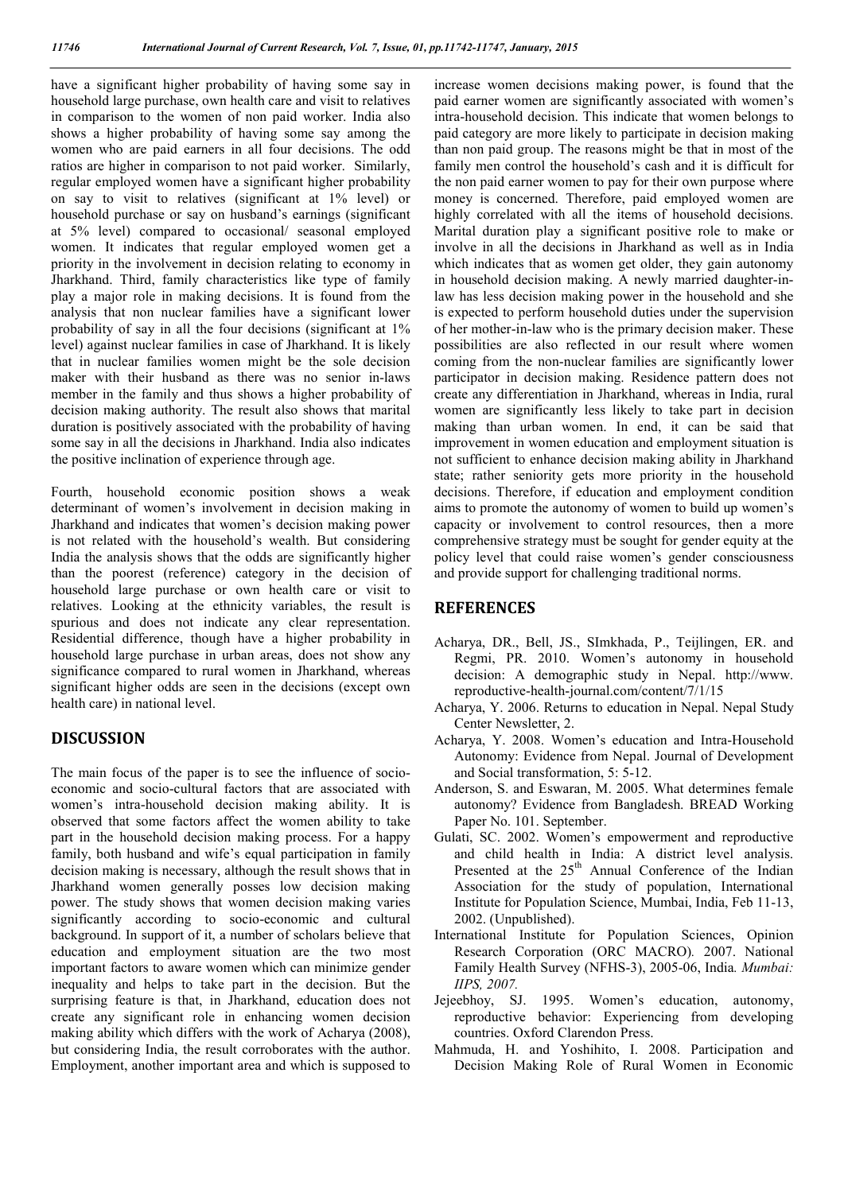have a significant higher probability of having some say in household large purchase, own health care and visit to relatives in comparison to the women of non paid worker. India also shows a higher probability of having some say among the women who are paid earners in all four decisions. The odd ratios are higher in comparison to not paid worker. Similarly, regular employed women have a significant higher probability on say to visit to relatives (significant at 1% level) or household purchase or say on husband's earnings (significant at 5% level) compared to occasional/ seasonal employed women. It indicates that regular employed women get a priority in the involvement in decision relating to economy in Jharkhand. Third, family characteristics like type of family play a major role in making decisions. It is found from the analysis that non nuclear families have a significant lower probability of say in all the four decisions (significant at 1% level) against nuclear families in case of Jharkhand. It is likely that in nuclear families women might be the sole decision maker with their husband as there was no senior in-laws member in the family and thus shows a higher probability of decision making authority. The result also shows that marital duration is positively associated with the probability of having some say in all the decisions in Jharkhand. India also indicates the positive inclination of experience through age.

Fourth, household economic position shows a weak determinant of women's involvement in decision making in Jharkhand and indicates that women's decision making power is not related with the household's wealth. But considering India the analysis shows that the odds are significantly higher than the poorest (reference) category in the decision of household large purchase or own health care or visit to relatives. Looking at the ethnicity variables, the result is spurious and does not indicate any clear representation. Residential difference, though have a higher probability in household large purchase in urban areas, does not show any significance compared to rural women in Jharkhand, whereas significant higher odds are seen in the decisions (except own health care) in national level.

#### **DISCUSSION**

The main focus of the paper is to see the influence of socioeconomic and socio-cultural factors that are associated with women's intra-household decision making ability. It is observed that some factors affect the women ability to take part in the household decision making process. For a happy family, both husband and wife's equal participation in family decision making is necessary, although the result shows that in Jharkhand women generally posses low decision making power. The study shows that women decision making varies significantly according to socio-economic and cultural background. In support of it, a number of scholars believe that education and employment situation are the two most important factors to aware women which can minimize gender inequality and helps to take part in the decision. But the surprising feature is that, in Jharkhand, education does not create any significant role in enhancing women decision making ability which differs with the work of Acharya (2008), but considering India, the result corroborates with the author. Employment, another important area and which is supposed to increase women decisions making power, is found that the paid earner women are significantly associated with women's intra-household decision. This indicate that women belongs to paid category are more likely to participate in decision making than non paid group. The reasons might be that in most of the family men control the household's cash and it is difficult for the non paid earner women to pay for their own purpose where money is concerned. Therefore, paid employed women are highly correlated with all the items of household decisions. Marital duration play a significant positive role to make or involve in all the decisions in Jharkhand as well as in India which indicates that as women get older, they gain autonomy in household decision making. A newly married daughter-inlaw has less decision making power in the household and she is expected to perform household duties under the supervision of her mother-in-law who is the primary decision maker. These possibilities are also reflected in our result where women coming from the non-nuclear families are significantly lower participator in decision making. Residence pattern does not create any differentiation in Jharkhand, whereas in India, rural women are significantly less likely to take part in decision making than urban women. In end, it can be said that improvement in women education and employment situation is not sufficient to enhance decision making ability in Jharkhand state; rather seniority gets more priority in the household decisions. Therefore, if education and employment condition aims to promote the autonomy of women to build up women's capacity or involvement to control resources, then a more comprehensive strategy must be sought for gender equity at the policy level that could raise women's gender consciousness and provide support for challenging traditional norms.

#### **REFERENCES**

- Acharya, DR., Bell, JS., SImkhada, P., Teijlingen, ER. and Regmi, PR. 2010. Women's autonomy in household decision: A demographic study in Nepal. http://www. reproductive-health-journal.com/content/7/1/15
- Acharya, Y. 2006. Returns to education in Nepal. Nepal Study Center Newsletter, 2.
- Acharya, Y. 2008. Women's education and Intra-Household Autonomy: Evidence from Nepal. Journal of Development and Social transformation, 5: 5-12.
- Anderson, S. and Eswaran, M. 2005. What determines female autonomy? Evidence from Bangladesh. BREAD Working Paper No. 101. September.
- Gulati, SC. 2002. Women's empowerment and reproductive and child health in India: A district level analysis. Presented at the 25<sup>th</sup> Annual Conference of the Indian Association for the study of population, International Institute for Population Science, Mumbai, India, Feb 11-13, 2002. (Unpublished).
- International Institute for Population Sciences, Opinion Research Corporation (ORC MACRO)*.* 2007. National Family Health Survey (NFHS-3), 2005-06, India*. Mumbai: IIPS, 2007.*
- Jejeebhoy, SJ. 1995. Women's education, autonomy, reproductive behavior: Experiencing from developing countries. Oxford Clarendon Press.
- Mahmuda, H. and Yoshihito, I. 2008. Participation and Decision Making Role of Rural Women in Economic